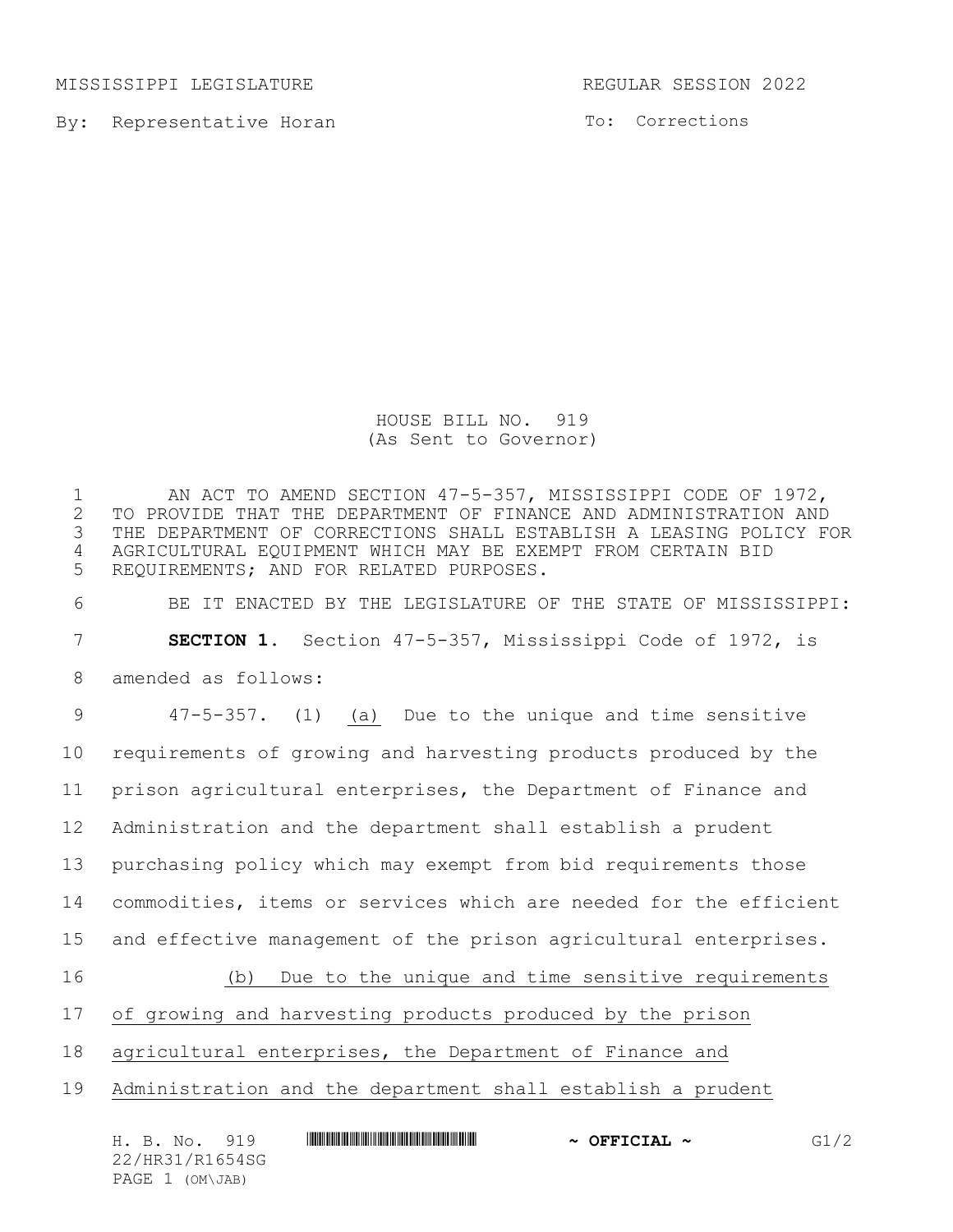MISSISSIPPI LEGISLATURE REGULAR SESSION 2022

By: Representative Horan

To: Corrections

HOUSE BILL NO. 919 (As Sent to Governor)

1 AN ACT TO AMEND SECTION 47-5-357, MISSISSIPPI CODE OF 1972,<br>2 TO PROVIDE THAT THE DEPARTMENT OF FINANCE AND ADMINISTRATION AND 2 TO PROVIDE THAT THE DEPARTMENT OF FINANCE AND ADMINISTRATION AND<br>3 THE DEPARTMENT OF CORRECTIONS SHALL ESTABLISH A LEASING POLICY F THE DEPARTMENT OF CORRECTIONS SHALL ESTABLISH A LEASING POLICY FOR 4 AGRICULTURAL EQUIPMENT WHICH MAY BE EXEMPT FROM CERTAIN BID 5 REQUIREMENTS; AND FOR RELATED PURPOSES.

6 BE IT ENACTED BY THE LEGISLATURE OF THE STATE OF MISSISSIPPI:

7 **SECTION 1.** Section 47-5-357, Mississippi Code of 1972, is

8 amended as follows:

 47-5-357. (1) (a) Due to the unique and time sensitive requirements of growing and harvesting products produced by the prison agricultural enterprises, the Department of Finance and Administration and the department shall establish a prudent purchasing policy which may exempt from bid requirements those commodities, items or services which are needed for the efficient and effective management of the prison agricultural enterprises.

16 (b) Due to the unique and time sensitive requirements

17 of growing and harvesting products produced by the prison

18 agricultural enterprises, the Department of Finance and

19 Administration and the department shall establish a prudent

| H. B. No. 919   | $\sim$ OFFICIAL $\sim$ | G1/2 |
|-----------------|------------------------|------|
| 22/HR31/R1654SG |                        |      |
| PAGE 1 (OM\JAB) |                        |      |